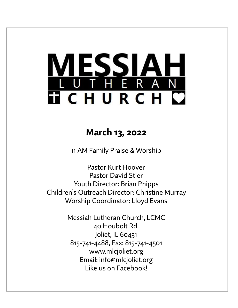# LESSIAH<br>UTHERAN **TICHURCH C**

## **March 13, 2022**

11 AM Family Praise & Worship

Pastor Kurt Hoover Pastor David Stier Youth Director: Brian Phipps Children's Outreach Director: Christine Murray Worship Coordinator: Lloyd Evans

> Messiah Lutheran Church, LCMC 40 Houbolt Rd. Joliet, IL 60431 815-741-4488, Fax: 815-741-4501 www.mlcjoliet.org Email: info@mlcjoliet.org Like us on Facebook!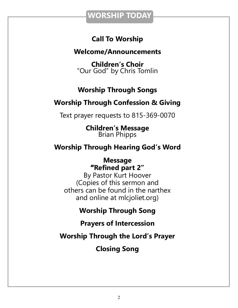### **WORSHIP TODAY**

### **Call To Worship**

### **Welcome/Announcements**

**Children's Choir** "Our God" by Chris Tomlin

### **Worship Through Songs**

### **Worship Through Confession & Giving**

Text prayer requests to 815-369-0070

**Children's Message** Brian Phipps

### **Worship Through Hearing God's Word**

**Message "Refined part 2"**

By Pastor Kurt Hoover (Copies of this sermon and others can be found in the narthex and online at mlcjoliet.org)

**Worship Through Song**

**Prayers of Intercession**

**Worship Through the Lord's Prayer**

**Closing Song**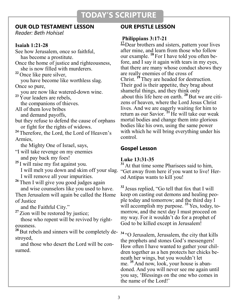### **TODAY'S SCRIPTURE**

### **OUR OLD TESTAMENT LESSON**

*Reader: Beth Hohisel*

### **Isaiah 1:21-28**

See how Jerusalem, once so faithful, has become a prostitute. Once the home of justice and righteousness, she is now filled with murderers. **<sup>22</sup>** Once like pure silver, you have become like worthless slag. Once so pure, you are now like watered-down wine. <sup>23</sup> Your leaders are rebels, the companions of thieves. All of them love bribes and demand payoffs, but they refuse to defend the cause of orphans or fight for the rights of widows. <sup>24</sup> Therefore, the Lord, the Lord of Heaven's Armies, the Mighty One of Israel, says, "I will take revenge on my enemies and pay back my foes! **<sup>25</sup>** I will raise my fist against you. I will melt you down and skim off your slag. "Get away from here if you want to live! Her- I will remove all your impurities. **<sup>26</sup>** Then I will give you good judges again and wise counselors like you used to have. Then Jerusalem will again be called the Home of Justice and the Faithful City." <sup>27</sup> Zion will be restored by justice; those who repent will be revived by righteousness. <sup>28</sup> But rebels and sinners will be completely destroyed,

 and those who desert the Lord will be consumed.

### **OUR EPISTLE LESSON**

### **Philippians 3:17-21**

<sup>17</sup> Dear brothers and sisters, pattern your lives after mine, and learn from those who follow our example. **<sup>18</sup>** For I have told you often before, and I say it again with tears in my eyes, that there are many whose conduct shows they are really enemies of the cross of Christ. **<sup>19</sup>** They are headed for destruction. Their god is their appetite, they brag about shameful things, and they think only .about this life here on earth. **<sup>20</sup>**But we are citizens of heaven, where the Lord Jesus Christ lives. And we are eagerly waiting for him to return as our Savior. **<sup>21</sup>** He will take our weak mortal bodies and change them into glorious bodies like his own, using the same power with which he will bring everything under his control.

### **Gospel Lesson**

### **Luke 13:31-35**

<sup>31</sup> At that time some Pharisees said to him, od Antipas wants to kill you!

**<sup>32</sup>** Jesus replied, "Go tell that fox that I will keep on casting out demons and healing people today and tomorrow; and the third day I will accomplish my purpose. **<sup>33</sup>** Yes, today, tomorrow, and the next day I must proceed on my way. For it wouldn't do for a prophet of God to be killed except in Jerusalem!

**<sup>34</sup>** "O Jerusalem, Jerusalem, the city that kills the prophets and stones God's messengers! How often I have wanted to gather your children together as a hen protects her chicks beneath her wings, but you wouldn't let me. **<sup>35</sup>** And now, look, your house is abandoned. And you will never see me again until you say, 'Blessings on the one who comes in the name of the Lord!'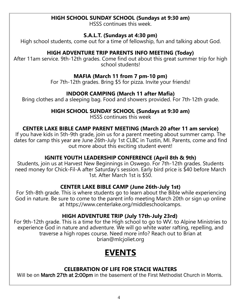### **HIGH SCHOOL SUNDAY SCHOOL (Sundays at 9:30 am)**

HSSS continues this week.

#### **S.A.L.T. (Sundays at 4:30 pm)**

High school students, come out for a time of fellowship, fun and talking about God.

### **HIGH ADVENTURE TRIP PARENTS INFO MEETING (Today)**

After 11am service. 9th-12th grades. Come find out about this great summer trip for high school students!

### **MAFIA (March 11 from 7 pm-10 pm)**

For 7th-12th grades. Bring \$5 for pizza. Invite your friends!

### **INDOOR CAMPING (March 11 after Mafia)**

Bring clothes and a sleeping bag. Food and showers provided. For 7th-12th grade.

### **HIGH SCHOOL SUNDAY SCHOOL (Sundays at 9:30 am)**

HSSS continues this week

### **CENTER LAKE BIBLE CAMP PARENT MEETING (March 20 after 11 am service)**

If you have kids in 5th-9th grade, join us for a parent meeting about summer camp. The dates for camp this year are June 26th-July 1st CLBC in Tustin, MI. Parents, come and find out more about this exciting student event!

### **IGNITE YOUTH LEADERSHIP CONFERENCE (April 8th & 9th)**

Students, join us at Harvest New Beginnings in Oswego. For 7th-12th grades. Students need money for Chick-Fil-A after Saturday's session. Early bird price is \$40 before March 1st. After March 1st is \$50.

### **CENTER LAKE BIBLE CAMP (June 26th-July 1st)**

For 5th-8th grade. This is where students go to learn about the Bible while experiencing God in nature. Be sure to come to the parent info meeting March 20th or sign up online at https://www.centerlake.org/middleschoolcamps.

### **HIGH ADVENTURE TRIP (July 17th-July 23rd)**

For 9th-12th grade. This is a time for the High school to go to WV. to Alpine Ministries to experience God in nature and adventure. We will go white water rafting, repelling, and traverse a high ropes course. Need more info? Reach out to Brian at brian@mlcjoliet.org

# **EVENTS**

### **CELEBRATION OF LIFE FOR STACIE WALTERS**

Will be on **March 27th at 2:00pm** in the basement of the First Methodist Church in Morris.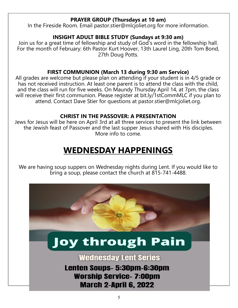### **PRAYER GROUP (Thursdays at 10 am)**

In the Fireside Room. Email pastor.stier@mlcjoliet.org for more information.

### **INSIGHT ADULT BIBLE STUDY (Sundays at 9:30 am)**

Join us for a great time of fellowship and study of God's word in the fellowship hall. For the month of February: 6th Pastor Kurt Hoover, 13th Laurel Ling, 20th Tom Bond, 27th Doug Potts.

### **FIRST COMMUNION (March 13 during 9:30 am Service)**

All grades are welcome but please plan on attending if your student is in 4/5 grade or has not received instruction. At least one parent is to attend the class with the child, and the class will run for five weeks. On Maundy Thursday April 14, at 7pm, the class will receive their first communion. Please register at bit.ly/1stCommMLC if you plan to attend. Contact Dave Stier for questions at pastor.stier@mlcjoliet.org.

### **CHRIST IN THE PASSOVER: A PRESENTATION**

Jews for Jesus will be here on April 3rd at all three services to present the link between the Jewish feast of Passover and the last supper Jesus shared with His disciples. More info to come.

# **WEDNESDAY HAPPENINGS**

We are having soup suppers on Wednesday nights during Lent. If you would like to bring a soup, please contact the church at 815-741-4488.

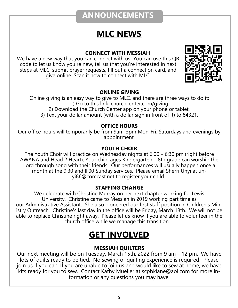### **ANNOUNCEMENTS**

# **MLC NEWS**

### **CONNECT WITH MESSIAH**

We have a new way that you can connect with us! You can use this QR code to let us know you're new, tell us that you're interested in next steps at MLC, submit prayer requests, fill out a connection card, and give online. Scan it now to connect with MLC.



### **ONLINE GIVING**

Online giving is an easy way to give to MLC, and there are three ways to do it: 1) Go to this link: churchcenter.com/giving 2) Download the Church Center app on your phone or tablet. 3) Text your dollar amount (with a dollar sign in front of it) to 84321.

#### **OFFICE HOURS**

Our office hours will temporarily be from 9am-3pm Mon-Fri. Saturdays and evenings by appointment.

### **YOUTH CHOIR**

The Youth Choir will practice on Wednesday nights at 6:00 – 6:30 pm (right before AWANA and Head 2 Heart). Your child ages Kindergarten – 8th grade can worship the Lord through song with their friends. Our performances will usually happen once a month at the 9:30 and ll:00 Sunday services. Please email Sherri Unyi at unyi86@comcast.net to register your child.

### **STAFFING CHANGE**

We celebrate with Christine Murray on her next chapter working for Lewis University. Christine came to Messiah in 2019 working part time as our Administrative Assistant. She also pioneered our first staff position in Children's Ministry Outreach. Christine's last day in the office will be Friday, March 18th. We will not be able to replace Christine right away. Please let us know if you are able to volunteer in the church office while we manage this transition.

### **GET INVOLVED**

### **MESSIAH QUILTERS**

Our next meeting will be on Tuesday, March 15th, 2022 from 9 am – 12 pm. We have lots of quilts ready to be tied. No sewing or quilting experience is required. Please join us if you can. If you are unable to join us and would like to sew at home, we have kits ready for you to sew. Contact Kathy Mueller at scpbklane@aol.com for more information or any questions you may have.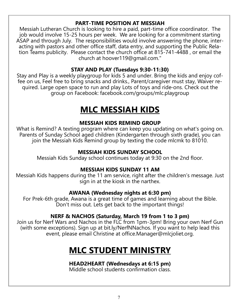### **PART-TIME POSITION AT MESSIAH**

Messiah Lutheran Church is looking to hire a paid, part-time office coordinator. The job would involve 15-25 hours per week. We are looking for a commitment starting ASAP and through July. The responsibilities would involve answering the phone, interacting with pastors and other office staff, data entry, and supporting the Public Relation Teams publicity. Please contact the church office at 815-741-4488 , or email the church at hoover119@gmail.com."

### **STAY AND PLAY (Tuesdays 9:30-11:30)**

Stay and Play is a weekly playgroup for kids 5 and under. Bring the kids and enjoy coffee on us, Feel free to bring snacks and drinks., Parent/caregiver must stay, Waiver required. Large open space to run and play Lots of toys and ride-ons. Check out the group on Facebook: facebook.com/groups/mlc.playgroup

# **MLC MESSIAH KIDS**

### **MESSIAH KIDS REMIND GROUP**

What is Remind? A texting program where can keep you updating on what's going on. Parents of Sunday School aged children (Kindergarten through sixth grade), you can join the Messiah Kids Remind group by texting the code mlcmk to 81010.

### **MESSIAH KIDS SUNDAY SCHOOL**

Messiah Kids Sunday school continues today at 9:30 on the 2nd floor.

### **MESSIAH KIDS SUNDAY 11 AM**

Messiah Kids happens during the 11 am service, right after the children's message. Just sign in at the kiosk in the narthex.

### **AWANA (Wednesday nights at 6:30 pm)**

For Prek-6th grade, Awana is a great time of games and learning about the Bible. Don't miss out. Lets get back to the important things!

### **NERF & NACHOS (Saturday, March 19 from 1 to 3 pm)**

Join us for Nerf Wars and Nachos in the FLC from 1pm-3pm! Bring your own Nerf Gun (with some exceptions). Sign up at bit.ly/NerfNNachos. If you want to help lead this event, please email Christine at office.Manager@mlcjoliet.org.

### **MLC STUDENT MINISTRY**

### **HEAD2HEART (Wednesdays at 6:15 pm)**

Middle school students confirmation class.